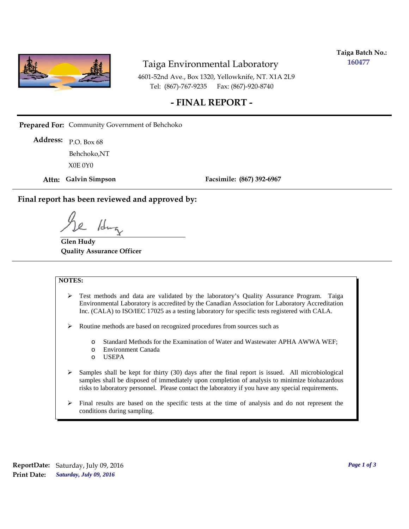

# Taiga Environmental Laboratory

**Taiga Batch No.: 160477**

4601-52nd Ave., Box 1320, Yellowknife, NT. X1A 2L9 Tel: (867)-767-9235 Fax: (867)-920-8740

### **- FINAL REPORT -**

**Prepared For:** Community Government of Behchoko

P.O. Box 68 **Address:** X0E 0Y0 Behchoko,NT

**Attn: Galvin Simpson**

**Facsimile: (867) 392-6967**

**Final report has been reviewed and approved by:**

1da

**Glen Hudy Quality Assurance Officer**

#### **NOTES:**

- $\triangleright$  Test methods and data are validated by the laboratory's Quality Assurance Program. Taiga Environmental Laboratory is accredited by the Canadian Association for Laboratory Accreditation Inc. (CALA) to ISO/IEC 17025 as a testing laboratory for specific tests registered with CALA.
- Routine methods are based on recognized procedures from sources such as
	- o Standard Methods for the Examination of Water and Wastewater APHA AWWA WEF;
	- o Environment Canada
	- o USEPA
- $\triangleright$  Samples shall be kept for thirty (30) days after the final report is issued. All microbiological samples shall be disposed of immediately upon completion of analysis to minimize biohazardous risks to laboratory personnel. Please contact the laboratory if you have any special requirements.
- $\triangleright$  Final results are based on the specific tests at the time of analysis and do not represent the conditions during sampling.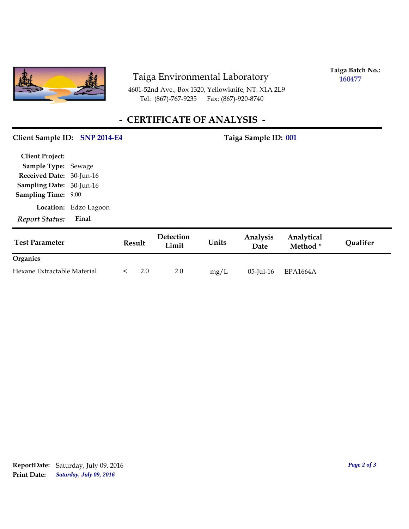

# Taiga Environmental Laboratory

**Taiga Batch No.: 160477**

4601-52nd Ave., Box 1320, Yellowknife, NT. X1A 2L9 Tel: (867)-767-9235

# **- CERTIFICATE OF ANALYSIS -**

#### Client Sample ID: SNP 2014-E4 Taiga Sample ID: 001

| <b>Client Project:</b>          |                       |
|---------------------------------|-----------------------|
| <b>Sample Type: Sewage</b>      |                       |
| Received Date: 30-Jun-16        |                       |
| <b>Sampling Date: 30-Jun-16</b> |                       |
| <b>Sampling Time:</b>           | 9:00                  |
|                                 | Location: Edzo Lagoon |
| <b>Report Status:</b>           | Final                 |

| <b>Test Parameter</b>       | Result | Detection<br>Limit | Units | <b>Analysis</b><br>Date | Analytical<br>Method <sup>*</sup> | Qualifer |
|-----------------------------|--------|--------------------|-------|-------------------------|-----------------------------------|----------|
| <b>Organics</b>             |        |                    |       |                         |                                   |          |
| Hexane Extractable Material | 2.0    | 2.0                | mg/L  | $05$ -Jul-16            | EPA1664A                          |          |